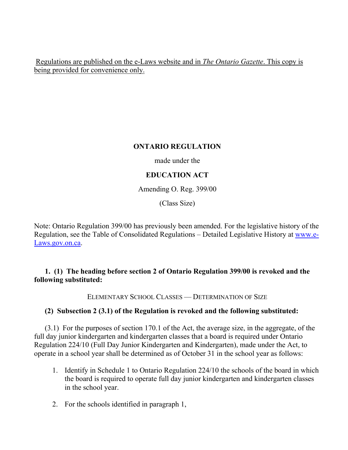Regulations are published on the e-Laws website and in *The Ontario Gazette*. This copy is being provided for convenience only.

### **ONTARIO REGULATION**

made under the

# **EDUCATION ACT**

Amending O. Reg. 399/00

(Class Size)

Note: Ontario Regulation 399/00 has previously been amended. For the legislative history of the Regulation, see the Table of Consolidated Regulations – Detailed Legislative History at [www.e-](http://www.e-laws.gov.on.ca/)[Laws.gov.on.ca.](http://www.e-laws.gov.on.ca/)

### **1. (1) The heading before section 2 of Ontario Regulation 399/00 is revoked and the following substituted:**

ELEMENTARY SCHOOL CLASSES — DETERMINATION OF SIZE

# **(2) Subsection 2 (3.1) of the Regulation is revoked and the following substituted:**

 (3.1) For the purposes of section 170.1 of the Act, the average size, in the aggregate, of the full day junior kindergarten and kindergarten classes that a board is required under Ontario Regulation 224/10 (Full Day Junior Kindergarten and Kindergarten), made under the Act, to operate in a school year shall be determined as of October 31 in the school year as follows:

- 1. Identify in Schedule 1 to Ontario Regulation 224/10 the schools of the board in which the board is required to operate full day junior kindergarten and kindergarten classes in the school year.
- 2. For the schools identified in paragraph 1,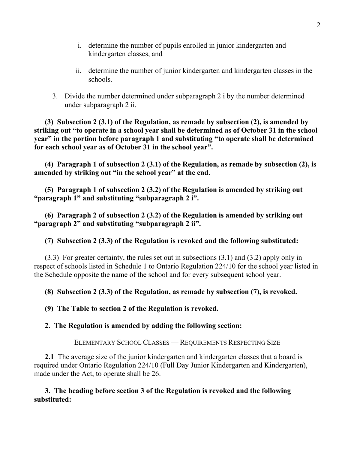- i. determine the number of pupils enrolled in junior kindergarten and kindergarten classes, and
- ii. determine the number of junior kindergarten and kindergarten classes in the schools.
- 3. Divide the number determined under subparagraph 2 i by the number determined under subparagraph 2 ii.

 **(3) Subsection 2 (3.1) of the Regulation, as remade by subsection (2), is amended by striking out "to operate in a school year shall be determined as of October 31 in the school year" in the portion before paragraph 1 and substituting "to operate shall be determined for each school year as of October 31 in the school year".** 

 **(4) Paragraph 1 of subsection 2 (3.1) of the Regulation, as remade by subsection (2), is amended by striking out "in the school year" at the end.** 

 **(5) Paragraph 1 of subsection 2 (3.2) of the Regulation is amended by striking out "paragraph 1" and substituting "subparagraph 2 i".** 

 **(6) Paragraph 2 of subsection 2 (3.2) of the Regulation is amended by striking out "paragraph 2" and substituting "subparagraph 2 ii".** 

# **(7) Subsection 2 (3.3) of the Regulation is revoked and the following substituted:**

 (3.3) For greater certainty, the rules set out in subsections (3.1) and (3.2) apply only in respect of schools listed in Schedule 1 to Ontario Regulation 224/10 for the school year listed in the Schedule opposite the name of the school and for every subsequent school year.

 **(8) Subsection 2 (3.3) of the Regulation, as remade by subsection (7), is revoked.** 

 **(9) The Table to section 2 of the Regulation is revoked.** 

# **2. The Regulation is amended by adding the following section:**

ELEMENTARY SCHOOL CLASSES — REQUIREMENTS RESPECTING SIZE

**2.1** The average size of the junior kindergarten and kindergarten classes that a board is required under Ontario Regulation 224/10 (Full Day Junior Kindergarten and Kindergarten), made under the Act, to operate shall be 26.

### **3. The heading before section 3 of the Regulation is revoked and the following substituted:**